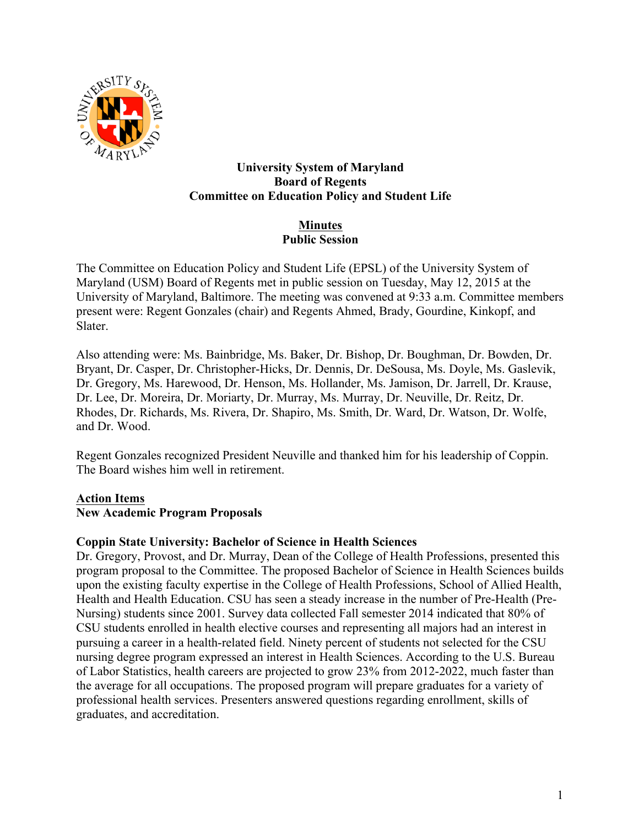

#### **University System of Maryland Board of Regents Committee on Education Policy and Student Life**

## **Minutes Public Session**

The Committee on Education Policy and Student Life (EPSL) of the University System of Maryland (USM) Board of Regents met in public session on Tuesday, May 12, 2015 at the University of Maryland, Baltimore. The meeting was convened at 9:33 a.m. Committee members present were: Regent Gonzales (chair) and Regents Ahmed, Brady, Gourdine, Kinkopf, and Slater.

Also attending were: Ms. Bainbridge, Ms. Baker, Dr. Bishop, Dr. Boughman, Dr. Bowden, Dr. Bryant, Dr. Casper, Dr. Christopher-Hicks, Dr. Dennis, Dr. DeSousa, Ms. Doyle, Ms. Gaslevik, Dr. Gregory, Ms. Harewood, Dr. Henson, Ms. Hollander, Ms. Jamison, Dr. Jarrell, Dr. Krause, Dr. Lee, Dr. Moreira, Dr. Moriarty, Dr. Murray, Ms. Murray, Dr. Neuville, Dr. Reitz, Dr. Rhodes, Dr. Richards, Ms. Rivera, Dr. Shapiro, Ms. Smith, Dr. Ward, Dr. Watson, Dr. Wolfe, and Dr. Wood.

Regent Gonzales recognized President Neuville and thanked him for his leadership of Coppin. The Board wishes him well in retirement.

# **Action Items**

# **New Academic Program Proposals**

## **Coppin State University: Bachelor of Science in Health Sciences**

Dr. Gregory, Provost, and Dr. Murray, Dean of the College of Health Professions, presented this program proposal to the Committee. The proposed Bachelor of Science in Health Sciences builds upon the existing faculty expertise in the College of Health Professions, School of Allied Health, Health and Health Education. CSU has seen a steady increase in the number of Pre-Health (Pre-Nursing) students since 2001. Survey data collected Fall semester 2014 indicated that 80% of CSU students enrolled in health elective courses and representing all majors had an interest in pursuing a career in a health-related field. Ninety percent of students not selected for the CSU nursing degree program expressed an interest in Health Sciences. According to the U.S. Bureau of Labor Statistics, health careers are projected to grow 23% from 2012-2022, much faster than the average for all occupations. The proposed program will prepare graduates for a variety of professional health services. Presenters answered questions regarding enrollment, skills of graduates, and accreditation.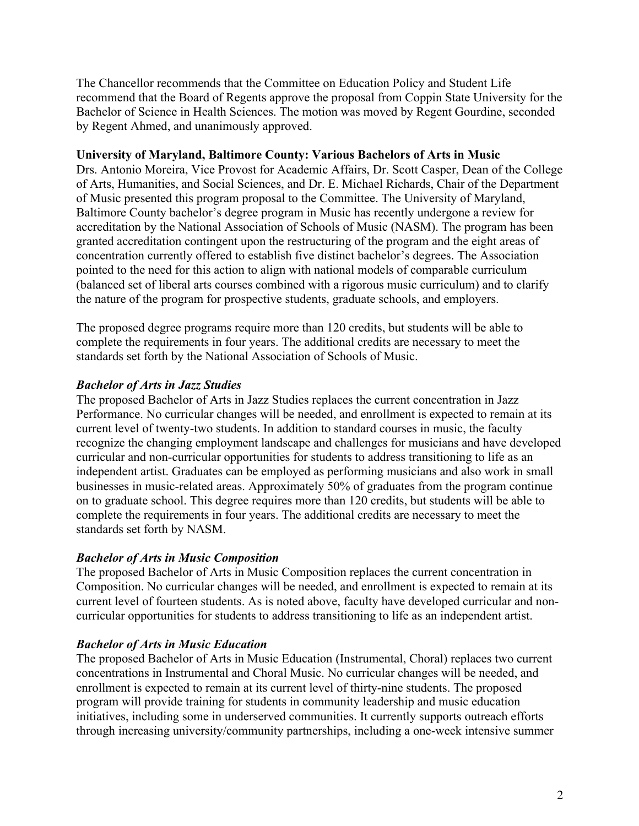The Chancellor recommends that the Committee on Education Policy and Student Life recommend that the Board of Regents approve the proposal from Coppin State University for the Bachelor of Science in Health Sciences. The motion was moved by Regent Gourdine, seconded by Regent Ahmed, and unanimously approved.

#### **University of Maryland, Baltimore County: Various Bachelors of Arts in Music**

Drs. Antonio Moreira, Vice Provost for Academic Affairs, Dr. Scott Casper, Dean of the College of Arts, Humanities, and Social Sciences, and Dr. E. Michael Richards, Chair of the Department of Music presented this program proposal to the Committee. The University of Maryland, Baltimore County bachelor's degree program in Music has recently undergone a review for accreditation by the National Association of Schools of Music (NASM). The program has been granted accreditation contingent upon the restructuring of the program and the eight areas of concentration currently offered to establish five distinct bachelor's degrees. The Association pointed to the need for this action to align with national models of comparable curriculum (balanced set of liberal arts courses combined with a rigorous music curriculum) and to clarify the nature of the program for prospective students, graduate schools, and employers.

The proposed degree programs require more than 120 credits, but students will be able to complete the requirements in four years. The additional credits are necessary to meet the standards set forth by the National Association of Schools of Music.

## *Bachelor of Arts in Jazz Studies*

The proposed Bachelor of Arts in Jazz Studies replaces the current concentration in Jazz Performance. No curricular changes will be needed, and enrollment is expected to remain at its current level of twenty-two students. In addition to standard courses in music, the faculty recognize the changing employment landscape and challenges for musicians and have developed curricular and non-curricular opportunities for students to address transitioning to life as an independent artist. Graduates can be employed as performing musicians and also work in small businesses in music-related areas. Approximately 50% of graduates from the program continue on to graduate school. This degree requires more than 120 credits, but students will be able to complete the requirements in four years. The additional credits are necessary to meet the standards set forth by NASM.

## *Bachelor of Arts in Music Composition*

The proposed Bachelor of Arts in Music Composition replaces the current concentration in Composition. No curricular changes will be needed, and enrollment is expected to remain at its current level of fourteen students. As is noted above, faculty have developed curricular and noncurricular opportunities for students to address transitioning to life as an independent artist.

## *Bachelor of Arts in Music Education*

The proposed Bachelor of Arts in Music Education (Instrumental, Choral) replaces two current concentrations in Instrumental and Choral Music. No curricular changes will be needed, and enrollment is expected to remain at its current level of thirty-nine students. The proposed program will provide training for students in community leadership and music education initiatives, including some in underserved communities. It currently supports outreach efforts through increasing university/community partnerships, including a one-week intensive summer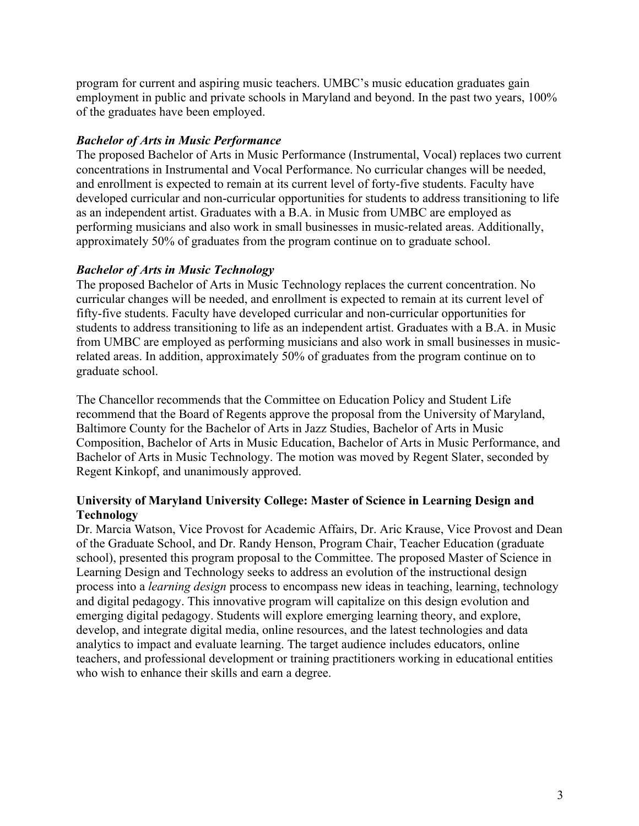program for current and aspiring music teachers. UMBC's music education graduates gain employment in public and private schools in Maryland and beyond. In the past two years, 100% of the graduates have been employed.

## *Bachelor of Arts in Music Performance*

The proposed Bachelor of Arts in Music Performance (Instrumental, Vocal) replaces two current concentrations in Instrumental and Vocal Performance. No curricular changes will be needed, and enrollment is expected to remain at its current level of forty-five students. Faculty have developed curricular and non-curricular opportunities for students to address transitioning to life as an independent artist. Graduates with a B.A. in Music from UMBC are employed as performing musicians and also work in small businesses in music-related areas. Additionally, approximately 50% of graduates from the program continue on to graduate school.

## *Bachelor of Arts in Music Technology*

The proposed Bachelor of Arts in Music Technology replaces the current concentration. No curricular changes will be needed, and enrollment is expected to remain at its current level of fifty-five students. Faculty have developed curricular and non-curricular opportunities for students to address transitioning to life as an independent artist. Graduates with a B.A. in Music from UMBC are employed as performing musicians and also work in small businesses in musicrelated areas. In addition, approximately 50% of graduates from the program continue on to graduate school.

The Chancellor recommends that the Committee on Education Policy and Student Life recommend that the Board of Regents approve the proposal from the University of Maryland, Baltimore County for the Bachelor of Arts in Jazz Studies, Bachelor of Arts in Music Composition, Bachelor of Arts in Music Education, Bachelor of Arts in Music Performance, and Bachelor of Arts in Music Technology. The motion was moved by Regent Slater, seconded by Regent Kinkopf, and unanimously approved.

## **University of Maryland University College: Master of Science in Learning Design and Technology**

Dr. Marcia Watson, Vice Provost for Academic Affairs, Dr. Aric Krause, Vice Provost and Dean of the Graduate School, and Dr. Randy Henson, Program Chair, Teacher Education (graduate school), presented this program proposal to the Committee. The proposed Master of Science in Learning Design and Technology seeks to address an evolution of the instructional design process into a *learning design* process to encompass new ideas in teaching, learning, technology and digital pedagogy. This innovative program will capitalize on this design evolution and emerging digital pedagogy. Students will explore emerging learning theory, and explore, develop, and integrate digital media, online resources, and the latest technologies and data analytics to impact and evaluate learning. The target audience includes educators, online teachers, and professional development or training practitioners working in educational entities who wish to enhance their skills and earn a degree.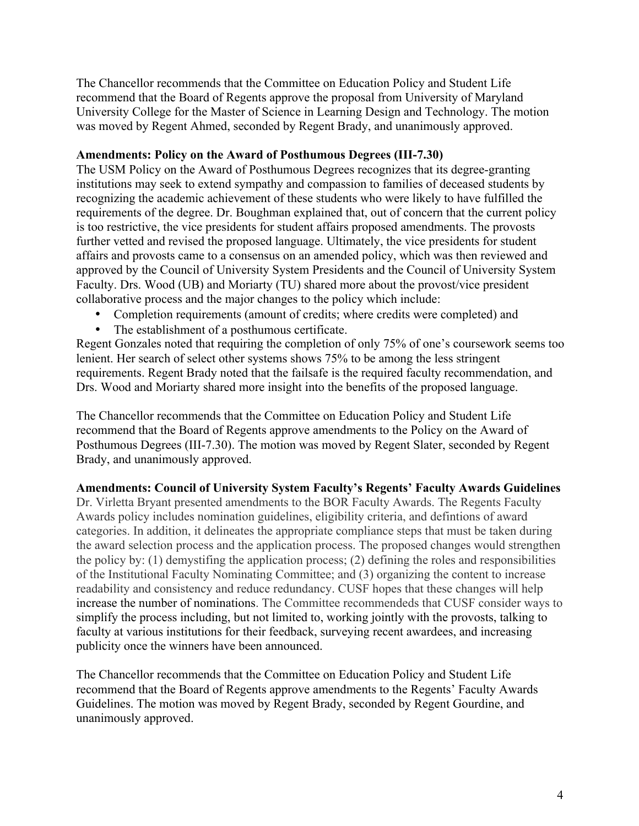The Chancellor recommends that the Committee on Education Policy and Student Life recommend that the Board of Regents approve the proposal from University of Maryland University College for the Master of Science in Learning Design and Technology. The motion was moved by Regent Ahmed, seconded by Regent Brady, and unanimously approved.

#### **Amendments: Policy on the Award of Posthumous Degrees (III-7.30)**

The USM Policy on the Award of Posthumous Degrees recognizes that its degree-granting institutions may seek to extend sympathy and compassion to families of deceased students by recognizing the academic achievement of these students who were likely to have fulfilled the requirements of the degree. Dr. Boughman explained that, out of concern that the current policy is too restrictive, the vice presidents for student affairs proposed amendments. The provosts further vetted and revised the proposed language. Ultimately, the vice presidents for student affairs and provosts came to a consensus on an amended policy, which was then reviewed and approved by the Council of University System Presidents and the Council of University System Faculty. Drs. Wood (UB) and Moriarty (TU) shared more about the provost/vice president collaborative process and the major changes to the policy which include:

- Completion requirements (amount of credits; where credits were completed) and
- The establishment of a posthumous certificate.

Regent Gonzales noted that requiring the completion of only 75% of one's coursework seems too lenient. Her search of select other systems shows 75% to be among the less stringent requirements. Regent Brady noted that the failsafe is the required faculty recommendation, and Drs. Wood and Moriarty shared more insight into the benefits of the proposed language.

The Chancellor recommends that the Committee on Education Policy and Student Life recommend that the Board of Regents approve amendments to the Policy on the Award of Posthumous Degrees (III-7.30). The motion was moved by Regent Slater, seconded by Regent Brady, and unanimously approved.

## **Amendments: Council of University System Faculty's Regents' Faculty Awards Guidelines**

Dr. Virletta Bryant presented amendments to the BOR Faculty Awards. The Regents Faculty Awards policy includes nomination guidelines, eligibility criteria, and defintions of award categories. In addition, it delineates the appropriate compliance steps that must be taken during the award selection process and the application process. The proposed changes would strengthen the policy by: (1) demystifing the application process; (2) defining the roles and responsibilities of the Institutional Faculty Nominating Committee; and (3) organizing the content to increase readability and consistency and reduce redundancy. CUSF hopes that these changes will help increase the number of nominations. The Committee recommendeds that CUSF consider ways to simplify the process including, but not limited to, working jointly with the provosts, talking to faculty at various institutions for their feedback, surveying recent awardees, and increasing publicity once the winners have been announced.

The Chancellor recommends that the Committee on Education Policy and Student Life recommend that the Board of Regents approve amendments to the Regents' Faculty Awards Guidelines. The motion was moved by Regent Brady, seconded by Regent Gourdine, and unanimously approved.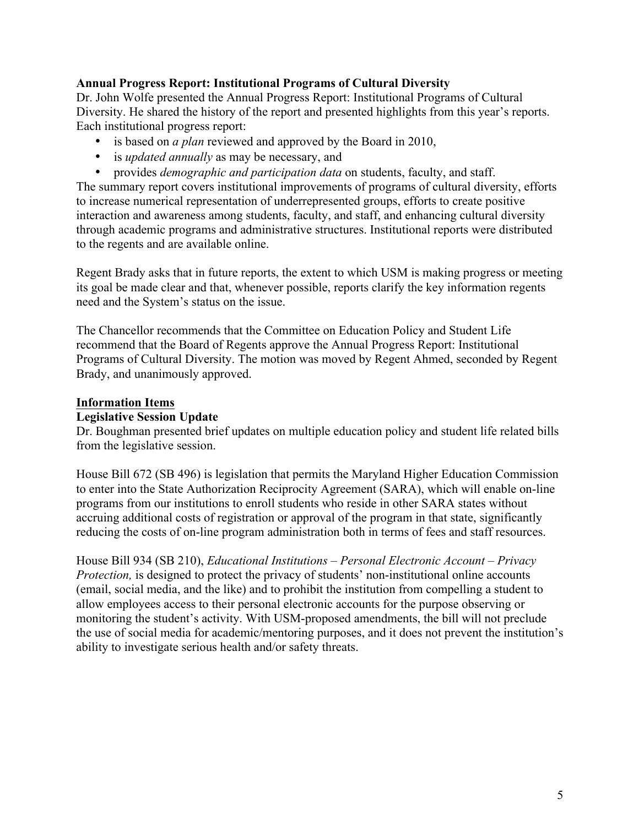## **Annual Progress Report: Institutional Programs of Cultural Diversity**

Dr. John Wolfe presented the Annual Progress Report: Institutional Programs of Cultural Diversity. He shared the history of the report and presented highlights from this year's reports. Each institutional progress report:

- is based on *a plan* reviewed and approved by the Board in 2010,
- is *updated annually* as may be necessary, and
- provides *demographic and participation data* on students, faculty, and staff.

The summary report covers institutional improvements of programs of cultural diversity, efforts to increase numerical representation of underrepresented groups, efforts to create positive interaction and awareness among students, faculty, and staff, and enhancing cultural diversity through academic programs and administrative structures. Institutional reports were distributed to the regents and are available online.

Regent Brady asks that in future reports, the extent to which USM is making progress or meeting its goal be made clear and that, whenever possible, reports clarify the key information regents need and the System's status on the issue.

The Chancellor recommends that the Committee on Education Policy and Student Life recommend that the Board of Regents approve the Annual Progress Report: Institutional Programs of Cultural Diversity. The motion was moved by Regent Ahmed, seconded by Regent Brady, and unanimously approved.

## **Information Items**

### **Legislative Session Update**

Dr. Boughman presented brief updates on multiple education policy and student life related bills from the legislative session.

House Bill 672 (SB 496) is legislation that permits the Maryland Higher Education Commission to enter into the State Authorization Reciprocity Agreement (SARA), which will enable on-line programs from our institutions to enroll students who reside in other SARA states without accruing additional costs of registration or approval of the program in that state, significantly reducing the costs of on-line program administration both in terms of fees and staff resources.

House Bill 934 (SB 210), *Educational Institutions – Personal Electronic Account – Privacy Protection*, is designed to protect the privacy of students' non-institutional online accounts (email, social media, and the like) and to prohibit the institution from compelling a student to allow employees access to their personal electronic accounts for the purpose observing or monitoring the student's activity. With USM-proposed amendments, the bill will not preclude the use of social media for academic/mentoring purposes, and it does not prevent the institution's ability to investigate serious health and/or safety threats.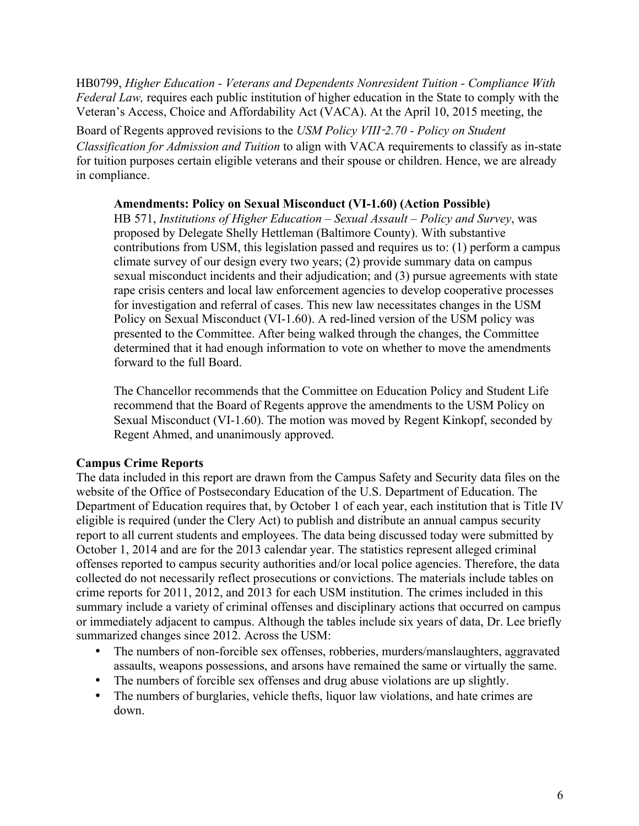HB0799, *Higher Education - Veterans and Dependents Nonresident Tuition - Compliance With Federal Law,* requires each public institution of higher education in the State to comply with the Veteran's Access, Choice and Affordability Act (VACA). At the April 10, 2015 meeting, the

Board of Regents approved revisions to the *USM Policy VIII*-*2.70 - Policy on Student Classification for Admission and Tuition* to align with VACA requirements to classify as in-state for tuition purposes certain eligible veterans and their spouse or children. Hence, we are already in compliance.

## **Amendments: Policy on Sexual Misconduct (VI-1.60) (Action Possible)**

HB 571, *Institutions of Higher Education – Sexual Assault – Policy and Survey*, was proposed by Delegate Shelly Hettleman (Baltimore County). With substantive contributions from USM, this legislation passed and requires us to: (1) perform a campus climate survey of our design every two years; (2) provide summary data on campus sexual misconduct incidents and their adjudication; and (3) pursue agreements with state rape crisis centers and local law enforcement agencies to develop cooperative processes for investigation and referral of cases. This new law necessitates changes in the USM Policy on Sexual Misconduct (VI-1.60). A red-lined version of the USM policy was presented to the Committee. After being walked through the changes, the Committee determined that it had enough information to vote on whether to move the amendments forward to the full Board.

The Chancellor recommends that the Committee on Education Policy and Student Life recommend that the Board of Regents approve the amendments to the USM Policy on Sexual Misconduct (VI-1.60). The motion was moved by Regent Kinkopf, seconded by Regent Ahmed, and unanimously approved.

# **Campus Crime Reports**

The data included in this report are drawn from the Campus Safety and Security data files on the website of the Office of Postsecondary Education of the U.S. Department of Education. The Department of Education requires that, by October 1 of each year, each institution that is Title IV eligible is required (under the Clery Act) to publish and distribute an annual campus security report to all current students and employees. The data being discussed today were submitted by October 1, 2014 and are for the 2013 calendar year. The statistics represent alleged criminal offenses reported to campus security authorities and/or local police agencies. Therefore, the data collected do not necessarily reflect prosecutions or convictions. The materials include tables on crime reports for 2011, 2012, and 2013 for each USM institution. The crimes included in this summary include a variety of criminal offenses and disciplinary actions that occurred on campus or immediately adjacent to campus. Although the tables include six years of data, Dr. Lee briefly summarized changes since 2012. Across the USM:

- The numbers of non-forcible sex offenses, robberies, murders/manslaughters, aggravated assaults, weapons possessions, and arsons have remained the same or virtually the same.
- The numbers of forcible sex offenses and drug abuse violations are up slightly.
- The numbers of burglaries, vehicle thefts, liquor law violations, and hate crimes are down.